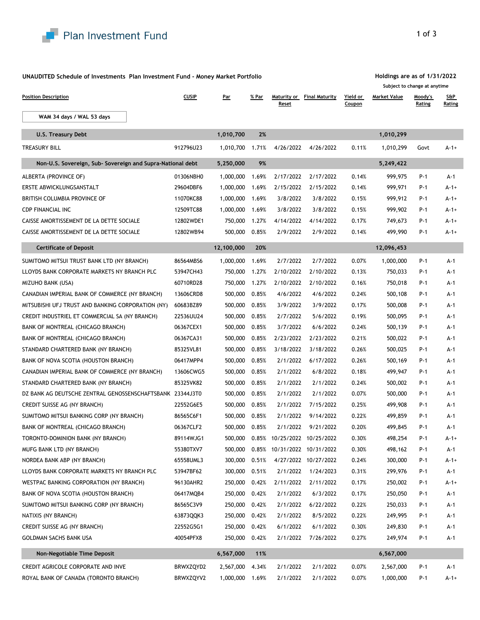

## **UNAUDITED Schedule of Investments Plan Investment Fund - Money Market Portfolio**

| <b>Position Description</b>                                | <b>CUSIP</b> | <u>Par</u>      | % Par | Maturity or<br>Reset | <b>Final Maturity</b> | Yield or<br>Coupon | Market Value | <u>Moody's</u><br>Rating | <b>S&amp;P</b><br><u>Rating</u> |
|------------------------------------------------------------|--------------|-----------------|-------|----------------------|-----------------------|--------------------|--------------|--------------------------|---------------------------------|
| WAM 34 days / WAL 53 days                                  |              |                 |       |                      |                       |                    |              |                          |                                 |
| U.S. Treasury Debt                                         |              | 1,010,700       | 2%    |                      |                       |                    | 1,010,299    |                          |                                 |
| TREASURY BILL                                              | 912796U23    | 1,010,700       | 1.71% | 4/26/2022            | 4/26/2022             | 0.11%              | 1,010,299    | Govt                     | $A - 1 +$                       |
| Non-U.S. Sovereign, Sub- Sovereign and Supra-National debt |              | 5,250,000       | 9%    |                      |                       |                    | 5,249,422    |                          |                                 |
| ALBERTA (PROVINCE OF)                                      | 01306NBH0    | 1,000,000       | 1.69% | 2/17/2022            | 2/17/2022             | 0.14%              | 999,975      | P-1                      | A-1                             |
| ERSTE ABWICKLUNGSANSTALT                                   | 29604DBF6    | 1,000,000       | 1.69% | 2/15/2022            | 2/15/2022             | 0.14%              | 999,971      | P-1                      | $A-1+$                          |
| BRITISH COLUMBIA PROVINCE OF                               | 11070KC88    | 1,000,000       | 1.69% | 3/8/2022             | 3/8/2022              | 0.15%              | 999,912      | P-1                      | $A-1+$                          |
| <b>CDP FINANCIAL INC</b>                                   | 12509TC88    | 1,000,000       | 1.69% | 3/8/2022             | 3/8/2022              | 0.15%              | 999,902      | P-1                      | $A-1+$                          |
| CAISSE AMORTISSEMENT DE LA DETTE SOCIALE                   | 12802WDE1    | 750,000         | 1.27% | 4/14/2022            | 4/14/2022             | 0.17%              | 749,673      | P-1                      | $A-1+$                          |
| CAISSE AMORTISSEMENT DE LA DETTE SOCIALE                   | 12802WB94    | 500,000         | 0.85% | 2/9/2022             | 2/9/2022              | 0.14%              | 499,990      | P-1                      | $A - 1 +$                       |
| <b>Certificate of Deposit</b>                              |              | 12,100,000      | 20%   |                      |                       |                    | 12,096,453   |                          |                                 |
| SUMITOMO MITSUI TRUST BANK LTD (NY BRANCH)                 | 86564MBS6    | 1,000,000       | 1.69% | 2/7/2022             | 2/7/2022              | 0.07%              | 1,000,000    | P-1                      | A-1                             |
| LLOYDS BANK CORPORATE MARKETS NY BRANCH PLC                | 53947CH43    | 750,000         | 1.27% | 2/10/2022            | 2/10/2022             | 0.13%              | 750,033      | P-1                      | A-1                             |
| MIZUHO BANK (USA)                                          | 60710RD28    | 750,000         | 1.27% | 2/10/2022            | 2/10/2022             | 0.16%              | 750,018      | P-1                      | A-1                             |
| CANADIAN IMPERIAL BANK OF COMMERCE (NY BRANCH)             | 13606CRD8    | 500,000         | 0.85% | 4/6/2022             | 4/6/2022              | 0.24%              | 500,108      | P-1                      | A-1                             |
| MITSUBISHI UFJ TRUST AND BANKING CORPORATION (NY)          | 60683BZ89    | 500,000         | 0.85% | 3/9/2022             | 3/9/2022              | 0.17%              | 500,008      | P-1                      | $A-1$                           |
| CREDIT INDUSTRIEL ET COMMERCIAL SA (NY BRANCH)             | 22536UU24    | 500,000         | 0.85% | 2/7/2022             | 5/6/2022              | 0.19%              | 500,095      | P-1                      | $A-1$                           |
| BANK OF MONTREAL (CHICAGO BRANCH)                          | 06367CEX1    | 500,000         | 0.85% | 3/7/2022             | 6/6/2022              | 0.24%              | 500,139      | P-1                      | A-1                             |
| BANK OF MONTREAL (CHICAGO BRANCH)                          | 06367CA31    | 500,000         | 0.85% | 2/23/2022            | 2/23/2022             | 0.21%              | 500,022      | P-1                      | $A-1$                           |
| STANDARD CHARTERED BANK (NY BRANCH)                        | 85325VL81    | 500,000         | 0.85% | 3/18/2022            | 3/18/2022             | 0.26%              | 500,025      | P-1                      | A-1                             |
| BANK OF NOVA SCOTIA (HOUSTON BRANCH)                       | 06417MPP4    | 500,000         | 0.85% | 2/1/2022             | 6/17/2022             | 0.26%              | 500,169      | P-1                      | A-1                             |
| CANADIAN IMPERIAL BANK OF COMMERCE (NY BRANCH)             | 13606CWG5    | 500,000         | 0.85% | 2/1/2022             | 6/8/2022              | 0.18%              | 499,947      | P-1                      | A-1                             |
| STANDARD CHARTERED BANK (NY BRANCH)                        | 85325VK82    | 500,000         | 0.85% | 2/1/2022             | 2/1/2022              | 0.24%              | 500,002      | P-1                      | A-1                             |
| DZ BANK AG DEUTSCHE ZENTRAL GENOSSENSCHAFTSBANK 23344J3T0  |              | 500,000         | 0.85% | 2/1/2022             | 2/1/2022              | 0.07%              | 500,000      | P-1                      | A-1                             |
| CREDIT SUISSE AG (NY BRANCH)                               | 22552G6E5    | 500,000         | 0.85% | 2/1/2022             | 7/15/2022             | 0.25%              | 499,908      | P-1                      | A-1                             |
| SUMITOMO MITSUI BANKING CORP (NY BRANCH)                   | 86565C6F1    | 500,000         | 0.85% | 2/1/2022             | 9/14/2022             | 0.22%              | 499,859      | P-1                      | A-1                             |
| BANK OF MONTREAL (CHICAGO BRANCH)                          | 06367CLF2    | 500,000         | 0.85% | 2/1/2022             | 9/21/2022             | 0.20%              | 499,845      | P-1                      | A-1                             |
| TORONTO-DOMINION BANK (NY BRANCH)                          | 89114WJG1    | 500,000         | 0.85% |                      | 10/25/2022 10/25/2022 | 0.30%              | 498,254      | P-1                      | A-1+                            |
| MUFG BANK LTD (NY BRANCH)                                  | 55380TXV7    | 500,000         | 0.85% |                      | 10/31/2022 10/31/2022 | 0.30%              | 498,162      | P-1                      | A-1                             |
| NORDEA BANK ABP (NY BRANCH)                                | 65558UML3    | 300,000         | 0.51% |                      | 4/27/2022 10/27/2022  | 0.24%              | 300,000      | P-1                      | $A - 1 +$                       |
| LLOYDS BANK CORPORATE MARKETS NY BRANCH PLC                | 53947BF62    | 300,000         | 0.51% | 2/1/2022             | 1/24/2023             | 0.31%              | 299,976      | P-1                      | A-1                             |
| WESTPAC BANKING CORPORATION (NY BRANCH)                    | 96130AHR2    | 250,000         | 0.42% | 2/11/2022            | 2/11/2022             | 0.17%              | 250,002      | P-1                      | $A - 1 +$                       |
| BANK OF NOVA SCOTIA (HOUSTON BRANCH)                       | 06417MQB4    | 250,000         | 0.42% | 2/1/2022             | 6/3/2022              | 0.17%              | 250,050      | P-1                      | A-1                             |
| SUMITOMO MITSUI BANKING CORP (NY BRANCH)                   | 86565C3V9    | 250,000         | 0.42% | 2/1/2022             | 6/22/2022             | 0.22%              | 250,033      | P-1                      | A-1                             |
| NATIXIS (NY BRANCH)                                        | 63873QQK3    | 250,000         | 0.42% | 2/1/2022             | 8/5/2022              | 0.22%              | 249,995      | P-1                      | A-1                             |
| CREDIT SUISSE AG (NY BRANCH)                               | 22552G5G1    | 250,000         | 0.42% | 6/1/2022             | 6/1/2022              | 0.30%              | 249,830      | P-1                      | A-1                             |
| <b>GOLDMAN SACHS BANK USA</b>                              | 40054PFX8    | 250,000         | 0.42% | 2/1/2022             | 7/26/2022             | 0.27%              | 249,974      | P-1                      | A-1                             |
| Non-Negotiable Time Deposit                                |              | 6,567,000       | 11%   |                      |                       |                    | 6,567,000    |                          |                                 |
| CREDIT AGRICOLE CORPORATE AND INVE                         | BRWXZQYD2    | 2,567,000       | 4.34% | 2/1/2022             | 2/1/2022              | 0.07%              | 2,567,000    | P-1                      | A-1                             |
| ROYAL BANK OF CANADA (TORONTO BRANCH)                      | BRWXZQYV2    | 1,000,000 1.69% |       | 2/1/2022             | 2/1/2022              | 0.07%              | 1,000,000    | P-1                      | $A - 1 +$                       |

**Holdings are as of 1/31/2022 Subject to change at anytime**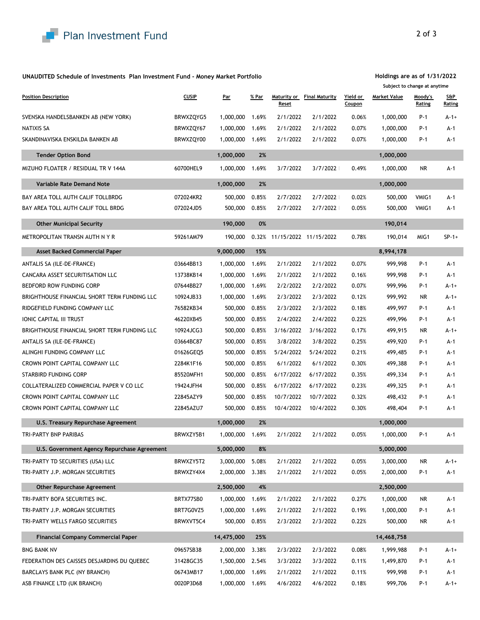

## **UNAUDITED Schedule of Investments Plan Investment Fund - Money Market Portfolio**

| <b>Position Description</b>                  | <b>CUSIP</b> | <u>Par</u> | <u>% Par</u> | Maturity or<br>Reset | <b>Final Maturity</b>       | Yield or<br>Coupon | <b>Market Value</b> | Moody's<br>Rating | <b>S&amp;P</b><br>Rating |
|----------------------------------------------|--------------|------------|--------------|----------------------|-----------------------------|--------------------|---------------------|-------------------|--------------------------|
| SVENSKA HANDELSBANKEN AB (NEW YORK)          | BRWXZQYG5    | 1,000,000  | 1.69%        | 2/1/2022             | 2/1/2022                    | 0.06%              | 1,000,000           | P-1               | $A - 1 +$                |
| NATIXIS SA                                   | BRWXZQY67    | 1,000,000  | 1.69%        | 2/1/2022             | 2/1/2022                    | 0.07%              | 1,000,000           | P-1               | A-1                      |
| SKANDINAVISKA ENSKILDA BANKEN AB             | BRWXZQY00    | 1,000,000  | 1.69%        | 2/1/2022             | 2/1/2022                    | 0.07%              | 1,000,000           | P-1               | A-1                      |
| <b>Tender Option Bond</b>                    |              | 1,000,000  | 2%           |                      |                             |                    | 1,000,000           |                   |                          |
| MIZUHO FLOATER / RESIDUAL TR V 144A          | 60700HEL9    | 1,000,000  | 1.69%        | 3/7/2022             | 3/7/2022                    | 0.49%              | 1,000,000           | NR                | A-1                      |
| <b>Variable Rate Demand Note</b>             |              | 1,000,000  | 2%           |                      |                             |                    | 1,000,000           |                   |                          |
| BAY AREA TOLL AUTH CALIF TOLLBRDG            | 072024KR2    | 500,000    | 0.85%        | 2/7/2022             | 2/7/2022                    | 0.02%              | 500,000             | VMIG1             | A-1                      |
| BAY AREA TOLL AUTH CALIF TOLL BRDG           | 072024JD5    | 500,000    | 0.85%        | 2/7/2022             | 2/7/2022                    | 0.05%              | 500,000             | VMIG1             | A-1                      |
| <b>Other Municipal Security</b>              |              | 190,000    | 0%           |                      |                             |                    | 190,014             |                   |                          |
| METROPOLITAN TRANSN AUTH N Y R               | 59261AM79    | 190,000    |              |                      | 0.32% 11/15/2022 11/15/2022 | 0.78%              | 190,014             | MIG1              | $SP-1+$                  |
| <b>Asset Backed Commercial Paper</b>         |              | 9,000,000  | 15%          |                      |                             |                    | 8,994,178           |                   |                          |
| ANTALIS SA (ILE-DE-FRANCE)                   | 03664BB13    | 1,000,000  | 1.69%        | 2/1/2022             | 2/1/2022                    | 0.07%              | 999,998             | P-1               | A-1                      |
| CANCARA ASSET SECURITISATION LLC             | 13738KB14    | 1,000,000  | 1.69%        | 2/1/2022             | 2/1/2022                    | 0.16%              | 999,998             | P-1               | A-1                      |
| BEDFORD ROW FUNDING CORP                     | 07644BB27    | 1,000,000  | 1.69%        | 2/2/2022             | 2/2/2022                    | 0.07%              | 999,996             | P-1               | $A - 1 +$                |
| BRIGHTHOUSE FINANCIAL SHORT TERM FUNDING LLC | 10924JB33    | 1,000,000  | 1.69%        | 2/3/2022             | 2/3/2022                    | 0.12%              | 999,992             | NR.               | $A-1+$                   |
| RIDGEFIELD FUNDING COMPANY LLC               | 76582KB34    | 500,000    | 0.85%        | 2/3/2022             | 2/3/2022                    | 0.18%              | 499,997             | P-1               | A-1                      |
| IONIC CAPITAL III TRUST                      | 46220XB45    | 500,000    | 0.85%        | 2/4/2022             | 2/4/2022                    | 0.22%              | 499,996             | P-1               | $A-1$                    |
| BRIGHTHOUSE FINANCIAL SHORT TERM FUNDING LLC | 10924JCG3    | 500,000    | 0.85%        | 3/16/2022            | 3/16/2022                   | 0.17%              | 499,915             | NR.               | A-1+                     |
| ANTALIS SA (ILE-DE-FRANCE)                   | 03664BC87    | 500,000    | 0.85%        | 3/8/2022             | 3/8/2022                    | 0.25%              | 499,920             | P-1               | A-1                      |
| ALINGHI FUNDING COMPANY LLC                  | 01626GEQ5    | 500,000    | 0.85%        | 5/24/2022            | 5/24/2022                   | 0.21%              | 499,485             | P-1               | A-1                      |
| CROWN POINT CAPITAL COMPANY LLC              | 2284K1F16    | 500,000    | 0.85%        | 6/1/2022             | 6/1/2022                    | 0.30%              | 499,388             | P-1               | A-1                      |
| STARBIRD FUNDING CORP                        | 85520MFH1    | 500,000    | 0.85%        | 6/17/2022            | 6/17/2022                   | 0.35%              | 499,334             | P-1               | A-1                      |
| COLLATERALIZED COMMERCIAL PAPER V CO LLC     | 19424JFH4    | 500,000    | 0.85%        | 6/17/2022            | 6/17/2022                   | 0.23%              | 499,325             | P-1               | A-1                      |
| CROWN POINT CAPITAL COMPANY LLC              | 22845AZY9    | 500,000    | 0.85%        | 10/7/2022            | 10/7/2022                   | 0.32%              | 498,432             | P-1               | A-1                      |
| CROWN POINT CAPITAL COMPANY LLC              | 22845AZU7    | 500,000    | 0.85%        | 10/4/2022            | 10/4/2022                   | 0.30%              | 498,404             | P-1               | A-1                      |
| U.S. Treasury Repurchase Agreement           |              | 1,000,000  | 2%           |                      |                             |                    | 1,000,000           |                   |                          |
| TRI-PARTY BNP PARIBAS                        | BRWXZY5B1    | 1,000,000  | 1.69%        | 2/1/2022             | 2/1/2022                    | 0.05%              | 1,000,000           | P-1               | A-1                      |
| U.S. Government Agency Repurchase Agreement  |              | 5,000,000  | 8%           |                      |                             |                    | 5,000,000           |                   |                          |
| TRI-PARTY TD SECURITIES (USA) LLC            | BRWXZY5T2    | 3,000,000  | 5.08%        | 2/1/2022             | 2/1/2022                    | 0.05%              | 3,000,000           | NR                | $A - 1 +$                |
| TRI-PARTY J.P. MORGAN SECURITIES             | BRWXZY4X4    | 2,000,000  | 3.38%        | 2/1/2022             | 2/1/2022                    | 0.05%              | 2,000,000           | P-1               | A-1                      |
| <b>Other Repurchase Agreement</b>            |              | 2,500,000  | 4%           |                      |                             |                    | 2,500,000           |                   |                          |
| TRI-PARTY BOFA SECURITIES INC.               | BRTX77SB0    | 1,000,000  | 1.69%        | 2/1/2022             | 2/1/2022                    | 0.27%              | 1,000,000           | NR                | A-1                      |
| TRI-PARTY J.P. MORGAN SECURITIES             | BRT7G0VZ5    | 1,000,000  | 1.69%        | 2/1/2022             | 2/1/2022                    | 0.19%              | 1,000,000           | P-1               | A-1                      |
| TRI-PARTY WELLS FARGO SECURITIES             | BRWXVT5C4    | 500,000    | 0.85%        | 2/3/2022             | 2/3/2022                    | 0.22%              | 500,000             | NR                | A-1                      |
| <b>Financial Company Commercial Paper</b>    |              | 14,475,000 | 25%          |                      |                             |                    | 14,468,758          |                   |                          |
| <b>BNG BANK NV</b>                           | 09657SB38    | 2,000,000  | 3.38%        | 2/3/2022             | 2/3/2022                    | 0.08%              | 1,999,988           | P-1               | $A - 1 +$                |
| FEDERATION DES CAISSES DESJARDINS DU QUEBEC  | 31428GC35    | 1,500,000  | 2.54%        | 3/3/2022             | 3/3/2022                    | 0.11%              | 1,499,870           | P-1               | A-1                      |
| BARCLAYS BANK PLC (NY BRANCH)                | 06743MB17    | 1,000,000  | 1.69%        | 2/1/2022             | 2/1/2022                    | 0.11%              | 999,998             | P-1               | A-1                      |
| ASB FINANCE LTD (UK BRANCH)                  | 0020P3D68    | 1,000,000  | 1.69%        | 4/6/2022             | 4/6/2022                    | 0.18%              | 999,706             | P-1               | A-1+                     |

**Holdings are as of 1/31/2022 Subject to change at anytime**